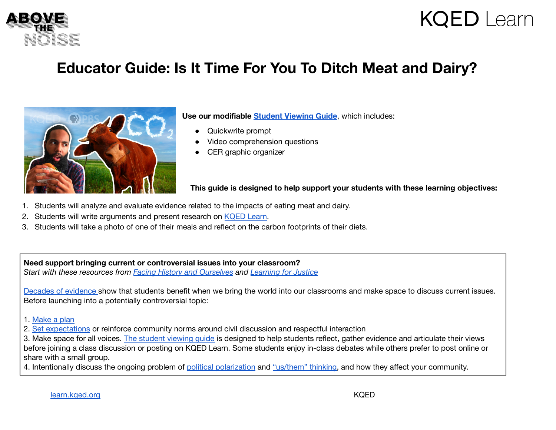



# **Educator Guide: Is It Time For You To Ditch Meat and Dairy?**



**Use our modifiable Student [Viewing](https://docs.google.com/document/d/1bsodHb16VF9Tx2rn_1o-WfsPpId2J-8WqPqBYWvi3iU/copy) Guide**, which includes:

- Quickwrite prompt
- Video comprehension questions
- CER graphic organizer

### **This guide is designed to help support your students with these learning objectives:**

- 1. Students will analyze and evaluate evidence related to the impacts of eating meat and dairy.
- 2. Students will write arguments and present research on [KQED](https://learn.kqed.org/discussions/88) Learn.
- 3. Students will take a photo of one of their meals and reflect on the carbon footprints of their diets.

#### **Need support bringing current or controversial issues into your classroom?**

*Start with these resources from Facing History and [Ourselves](https://www.facinghistory.org) and [Learning](https://www.learningforjustice.org) for Justice*

Decades of [evidence](https://www.edweek.org/leadership/opinion-we-have-to-talk-about-current-events-in-the-classroom/2016/11) show that students benefit when we bring the world into our classrooms and make space to discuss current issues. Before launching into a potentially controversial topic:

1. [Make](https://www.facinghistory.org/sites/default/files/publications/Current_Events_Teacher_Checklist.pdf) a plan

2. Set [expectations](https://www.facinghistory.org/resource-library/teaching-strategies/contracting) or reinforce community norms around civil discussion and respectful interaction

3. Make space for all voices. The [student](https://docs.google.com/document/d/1bsodHb16VF9Tx2rn_1o-WfsPpId2J-8WqPqBYWvi3iU/copy) viewing quide is designed to help students reflect, gather evidence and articulate their views before joining a class discussion or posting on KQED Learn. Some students enjoy in-class debates while others prefer to post online or share with a small group.

4. Intentionally discuss the ongoing problem of political [polarization](https://www.learningforjustice.org/magazine/fall-2016/polarized-classrooms) and ["us/them"](https://facingtoday.facinghistory.org/how-teachers-can-help-students-make-sense-of-political-and-social-tensions) thinking, and how they affect your community.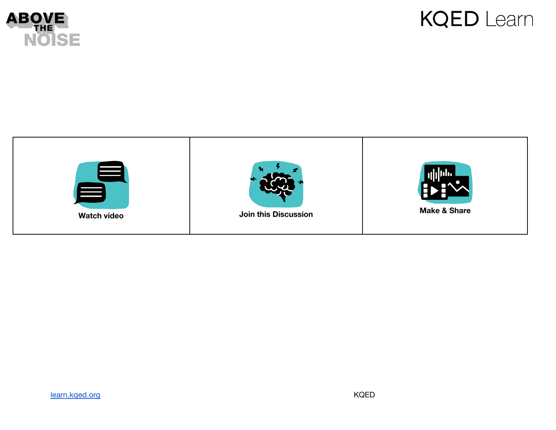



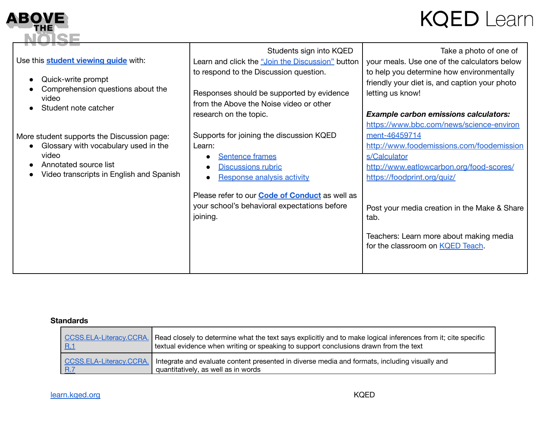

# **KQED** Learn

|                                                                                                                                                                  | Students sign into KQED                                                                                                                                                                                                                                      | Take a photo of one of                                                                                                                                                                                                                                                                       |
|------------------------------------------------------------------------------------------------------------------------------------------------------------------|--------------------------------------------------------------------------------------------------------------------------------------------------------------------------------------------------------------------------------------------------------------|----------------------------------------------------------------------------------------------------------------------------------------------------------------------------------------------------------------------------------------------------------------------------------------------|
| Use this <b>student viewing guide</b> with:                                                                                                                      | Learn and click the "Join the Discussion" button                                                                                                                                                                                                             | your meals. Use one of the calculators below                                                                                                                                                                                                                                                 |
| Quick-write prompt<br>Comprehension questions about the<br>video<br>Student note catcher                                                                         | to respond to the Discussion question.<br>Responses should be supported by evidence<br>from the Above the Noise video or other<br>research on the topic.                                                                                                     | to help you determine how environmentally<br>friendly your diet is, and caption your photo<br>letting us know!<br><b>Example carbon emissions calculators:</b><br>https://www.bbc.com/news/science-environ                                                                                   |
| More student supports the Discussion page:<br>Glossary with vocabulary used in the<br>video<br>Annotated source list<br>Video transcripts in English and Spanish | Supports for joining the discussion KQED<br>Learn:<br><b>Sentence frames</b><br><b>Discussions rubric</b><br>Response analysis activity<br>Please refer to our <b>Code of Conduct</b> as well as<br>your school's behavioral expectations before<br>joining. | ment-46459714<br>http://www.foodemissions.com/foodemission<br>s/Calculator<br>http://www.eatlowcarbon.org/food-scores/<br>https://foodprint.org/quiz/<br>Post your media creation in the Make & Share<br>tab.<br>Teachers: Learn more about making media<br>for the classroom on KQED Teach. |

### **Standards**

| CCSS.ELA-Literacy.CCRA. | Read closely to determine what the text says explicitly and to make logical inferences from it; cite specific |
|-------------------------|---------------------------------------------------------------------------------------------------------------|
| <b>R.1</b>              | textual evidence when writing or speaking to support conclusions drawn from the text                          |
| CCSS.ELA-Literacy.CCRA. | Integrate and evaluate content presented in diverse media and formats, including visually and                 |
| <b>R.7</b>              | quantitatively, as well as in words                                                                           |

## [learn.kqed.org](https://learn.kqed.org) KQED